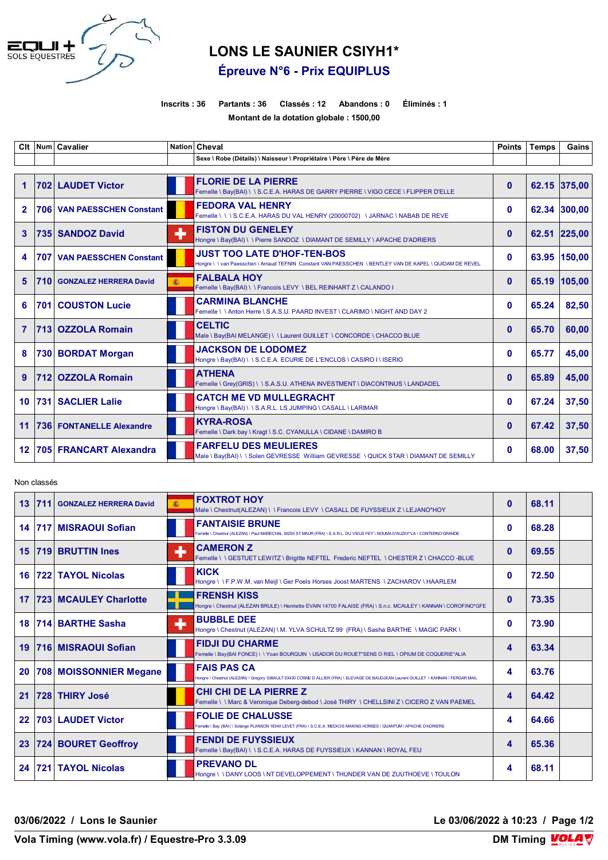

## **LONS LE SAUNIER CSIYH1\* Épreuve N°6 - Prix EQUIPLUS**

## **Inscrits : 36 Partants : 36 Classés : 12 Abandons : 0 Éliminés : 1 Montant de la dotation globale : 1500,00**

| Clt                  |     | Num Cavalier                  |   | Nation Cheval                                                                                                                             | <b>Points</b> | <b>Temps</b> | Gains        |
|----------------------|-----|-------------------------------|---|-------------------------------------------------------------------------------------------------------------------------------------------|---------------|--------------|--------------|
|                      |     |                               |   | Sexe \ Robe (Détails) \ Naisseur \ Propriétaire \ Père \ Père de Mère                                                                     |               |              |              |
| $\blacktriangleleft$ |     | 702 LAUDET Victor             |   | <b>FLORIE DE LA PIERRE</b><br>Femelle \ Bay(BAI) \ \ S.C.E.A. HARAS DE GARRY PIERRE \ VIGO CECE \ FLIPPER D'ELLE                          | $\mathbf{0}$  |              | 62.15 375,00 |
| $\mathbf{2}$         |     | 706 VAN PAESSCHEN Constant    |   | <b>FEDORA VAL HENRY</b><br>Femelle \\\S.C.E.A. HARAS DU VAL HENRY (20000702) \JARNAC \NABAB DE REVE                                       | $\bf{0}$      |              | 62.34 300,00 |
| 3                    |     | 735 SANDOZ David              | ۰ | <b>FISTON DU GENELEY</b><br>Hongre \ Bay(BAI) \ \ Pierre SANDOZ \ DIAMANT DE SEMILLY \ APACHE D'ADRIERS                                   | $\mathbf{0}$  |              | 62.51 225,00 |
| 4                    | 707 | <b>VAN PAESSCHEN Constant</b> |   | <b>JUST TOO LATE D'HOF-TEN-BOS</b><br>Hongre \\van Paesschen \Arnaud TEFNIN Constant VAN PAESSCHEN \BENTLEY VAN DE KAPEL \QUIDAM DE REVEL | $\bf{0}$      |              | 63.95 150,00 |
| 5                    | 710 | <b>GONZALEZ HERRERA David</b> | 灜 | <b>FALBALA HOY</b><br>Femelle \ Bay(BAI) \ \ Francois LEVY \ BEL REINHART Z \ CALANDO I                                                   | $\mathbf{0}$  |              | 65.19 105,00 |
| 6                    |     | <b>701 COUSTON Lucie</b>      |   | <b>CARMINA BLANCHE</b><br>Femelle \\Anton Herre \ S.A.S.U. PAARD INVEST \ CLARIMO \ NIGHT AND DAY 2                                       | $\bf{0}$      | 65.24        | 82,50        |
| $\overline{7}$       |     | 713 OZZOLA Romain             |   | <b>CELTIC</b><br>Male \ Bay(BAI MELANGE) \ \ Laurent GUILLET \ CONCORDE \ CHACCO BLUE                                                     | $\mathbf{0}$  | 65.70        | 60,00        |
| 8                    |     | 730 BORDAT Morgan             |   | <b>JACKSON DE LODOMEZ</b><br>Hongre \ Bay(BAI) \ \ S.C.E.A. ECURIE DE L'ENCLOS \ CASIRO I \ ISERIO                                        | $\bf{0}$      | 65.77        | 45.00        |
| 9                    | 712 | <b>OZZOLA Romain</b>          |   | <b>ATHENA</b><br>Femelle \ Grey(GRIS) \ \ S.A.S.U. ATHENA INVESTMENT \ DIACONTINUS \ LANDADEL                                             | $\mathbf{0}$  | 65.89        | 45,00        |
| 10 <sup>°</sup>      |     | 731 SACLIER Lalie             |   | <b>CATCH ME VD MULLEGRACHT</b><br>Hongre \ Bay(BAI) \ \ S.A.R.L. LS JUMPING \ CASALL \ LARIMAR                                            | $\mathbf{0}$  | 67.24        | 37,50        |
| 11                   |     | 736 FONTANELLE Alexandre      |   | <b>KYRA-ROSA</b><br>Femelle \ Dark bay \ Kragt \ S.C. CYANULLA \ CIDANE \ DAMIRO B                                                        | $\Omega$      | 67.42        | 37,50        |
| 12 <sub>2</sub>      |     | 705 FRANCART Alexandra        |   | <b>FARFELU DES MEULIERES</b><br>Male \ Bay(BAI) \ \ Solen GEVRESSE William GEVRESSE \ QUICK STAR \ DIAMANT DE SEMILLY                     | $\mathbf{0}$  | 68.00        | 37,50        |

Non classés

| 13 <sup>1</sup> | 711 | <b>GONZALEZ HERRERA David</b> |   | <b>FOXTROT HOY</b><br>Male \ Chestnut(ALEZAN) \ \ Francois LEVY \ CASALL DE FUYSSIEUX Z \ LEJANO*HOY                                                       | $\bf{0}$     | 68.11 |
|-----------------|-----|-------------------------------|---|------------------------------------------------------------------------------------------------------------------------------------------------------------|--------------|-------|
| 14 <sup>1</sup> |     | 717 MISRAOUI Sofian           |   | <b>FANTAISIE BRUNE</b><br>Femelle \ Chestnut (ALEZAN) \ Paul MARECHAL 36250 ST MAUR (FRA) \ E.A.R.L. DU VIEUX FEY \ NOUMA D'AUZAY*LA \ CONTERNO GRANDE     | 0            | 68.28 |
| 15              |     | 719 BRUTTIN Ines              |   | <b>CAMERON Z</b><br>Femelle \\GESTUET LEWITZ\Brigitte NEFTEL_Frederic NEFTEL\CHESTER Z\CHACCO-BLUE                                                         | $\bf{0}$     | 69.55 |
| 16              |     | <b>722 TAYOL Nicolas</b>      |   | <b>KICK</b><br>Hongre \ \ F.P.W.M. van Meijl \ Ger Poels Horses Joost MARTENS \ ZACHAROV \ HAARLEM                                                         | 0            | 72.50 |
| 17              |     | <b>723 MCAULEY Charlotte</b>  |   | <b>FRENSH KISS</b><br>Hongre \ Chestnut (ALEZAN BRULE) \ Henriette EVAIN 14700 FALAISE (FRA) \ S.n.c. MCAULEY \ KANNAN \ COROFINO*GFE                      | $\mathbf{0}$ | 73.35 |
| 18              |     | 714 BARTHE Sasha              | ٠ | <b>BUBBLE DEE</b><br>Hongre \ Chestnut (ALEZAN) \ M. YLVA SCHULTZ 99 (FRA) \ Sasha BARTHE \ MAGIC PARK \                                                   | 0            | 73.90 |
| 19              |     | 716 MISRAOUI Sofian           |   | <b>FIDJI DU CHARME</b><br>Femelle \ Bay(BAI FONCE) \ \ Yoan BOURQUIN \ USADOR DU ROUET*SENS O RIEL \ OPIUM DE COQUERIE*ALIA                                | 4            | 63.34 |
| 20              |     | 708 MOISSONNIER Megane        |   | <b>FAIS PAS CA</b><br>Hongre \ Chestnut (ALEZAN) \ Gregory GIBAULT 03430 COSNE D ALLIER (FRA) \ ELEVAGE DE BAUDJEAN Laurent GUILLET \ KANNAN \ FERGAR MAIL | 4            | 63.76 |
| 21              |     | 728 THIRY José                |   | <b>CHI CHI DE LA PIERRE Z</b><br>Femelle \ \ Marc & Veronique Deberg-debod \ José THIRY \ CHELLSINI Z \ CICERO Z VAN PAEMEL                                | 4            | 64.42 |
| 22              |     | <b>703 LAUDET Victor</b>      |   | <b>FOLIE DE CHALUSSE</b><br>Femelle \ Bay (BAI) \ Solange PLANSON 18340 LEVET (FRA) \ S.C.E.A. MEDICIS MAKING HORSES \ QUANTUM \ APACHE D'ADRIERS          | 4            | 64.66 |
| 23 <sub>2</sub> |     | 724 BOURET Geoffroy           |   | <b>FENDI DE FUYSSIEUX</b><br>Femelle \ Bay(BAI) \ \ S.C.E.A. HARAS DE FUYSSIEUX \ KANNAN \ ROYAL FEU                                                       | 4            | 65.36 |
| 24 <sup>1</sup> |     | 721 TAYOL Nicolas             |   | <b>PREVANO DL</b><br>Hongre \ \ DANY LOOS \ NT DEVELOPPEMENT \ THUNDER VAN DE ZUUTHOEVE \ TOULON                                                           | 4            | 68.11 |

**03/06/2022 / Lons le Saunier Le 03/06/2022 à 10:23 / Page 1/2**